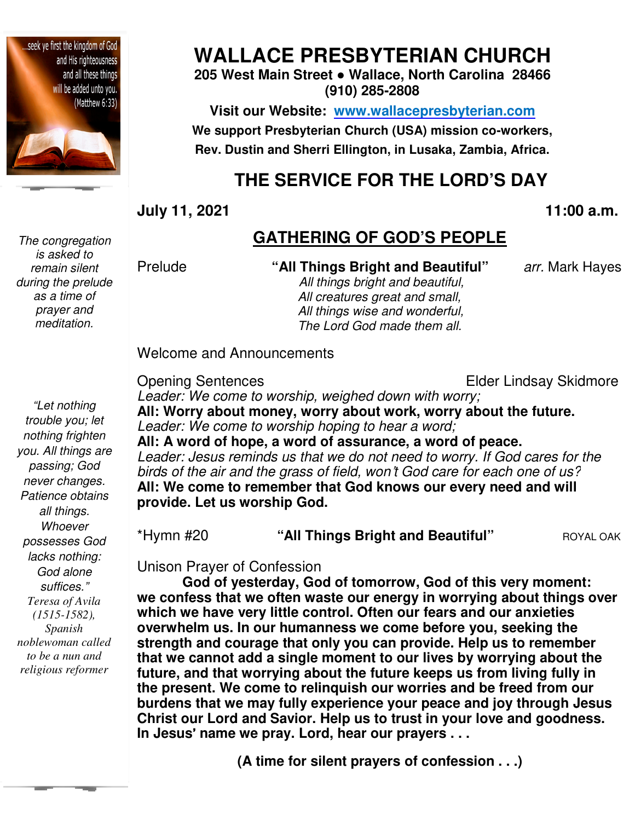

*The congregation is asked to remain silent during the prelude as a time of prayer and meditation.* 

**WALLACE PRESBYTERIAN CHURCH**

**205 West Main Street ● Wallace, North Carolina 28466 (910) 285-2808** 

**Visit our Website: www.wallacepresbyterian.com** We support Presbyterian Church (USA) mission co-workers, Rev. Dustin and Sherri Ellington, in Lusaka, Zambia, Africa.

# **THE SERVICE FOR THE LORD'S DAY**

**July 11, 2021** 

**, 11:00 a.m**

### **GATHERING OF GOD'S PEOPLE**

#### Prelude **"All Things Bright and Beautiful"**

*All things bright and beautiful, All creatures great and small, All things wise and wonderful, The Lord God made them all.*

*arr.* Mark Hayes

*"Let nothing trouble you; let nothing frighten you. All things are passing; God never changes. Patience obtains all things. Whoever possesses God lacks nothing: God alone suffices." Teresa of Avila (1515-1582), Spanish noblewoman called to be a nun and religious reformer*

Opening Sentences *Leader: We come to worship, weighed down with worry;* **All: Worry about money, worry about work, worry about the future. about** Leader: We come to worship hoping to hear a word; **All: A word of hope, a word of assurance, a word of peace. A word of** *Leader: Jesus reminds us that we do not need to worry. If God cares for the*  birds of the air and the grass of field, won't God care for each one of us? **All: We come to remember that God knows our every need and will provide. Let us worship God.** Elder Lindsay Skidmore

\*Hymn #20 **"All Things Bright and Beautiful"** ROYAL OAK

Unison Prayer of Confession Unison Prayer of

Welcome and Announcements

God of yesterday, God of tomorrow, God of this very moment: **we confess that we often waste our energy in worrying about things over**  which we have very little control. Often our fears and our anxieties **overwhelm us. In our humanness we come before you, seeking the strength and courage that only you can provide. Help us to remember that we cannot add a single moment to our lives by worrying about the future, and that worrying about the future keeps us from living fully in the present. We come to relinquish our worries and be freed from our burdens that we may fully experience your peace and joy t** Christ our Lord and Savior. Help us to trust in your love and goodness. **In Jesus**' **name we pray. Lord, hear our prayers . . .** add a single moment to our lives by worrying about the<br>worrying about the future keeps us from living fully in<br>e come to relinquish our worries and be freed from our<br>e may fully experience your peace and joy through Jesus 11:00 a.m.<br> **GATHERING OF GOD'S PEOPLE**<br>
"All Things Bright and Beautiful" arr. Mark Hayes<br> *All things bright and beautiful.*<br> *All things wise and wonderful,<br>
All things we and wonderful,<br>
The Lord God made them all.<br>
Th* mber that God knows our every need and will<br>ip God.<br>All Things Bright and Beautiful"<br>Provession<br>ay, God of tomorrow, God of this very momen<br>ten waste our energy in worrying about things<br>tle control. Often our fears and our

**(A time for silent prayers of confession . . .)**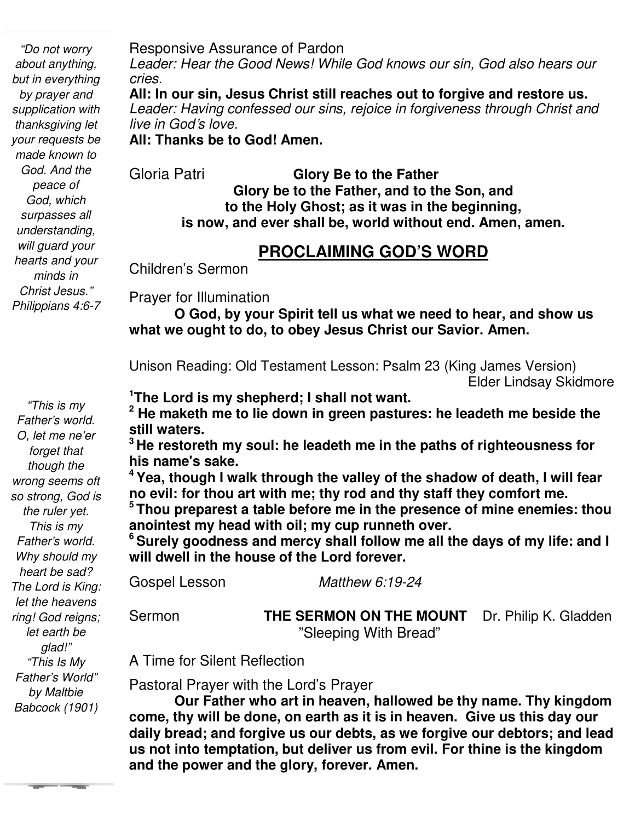*"Do not worry about anything, but in everything by prayer and supplication with thanksgiving let your requests be made known to God. And the peace of God, which surpasses all understanding, will guard your hearts and your minds in Christ Jesus." Philippians 4:6-7* 

*"This is my Father's world. O, let me ne'er forget that though the wrong seems oft so strong, God is the ruler yet. This is my Father's world. Why should my heart be sad? The Lord is King: let the heavens ring! God reigns; let earth be glad!" "This Is My Father's World" by Maltbie Babcock (1901)* 

Responsive Assurance of Pardon

*Leader: Hear the Good News! While God knows our sin, God also hears our cries.*

**All: In our sin, Jesus Christ still reaches out to forgive and restore us.** *Leader: Having confessed our sins, rejoice in forgiveness through Christ and live in God*'*s love.*

**All: Thanks be to God! Amen.**

Gloria Patri **Glory Be to the Father** 

**Glory be to the Father, and to the Son, and to the Holy Ghost; as it was in the beginning, is now, and ever shall be, world without end. Amen, amen.** 

### **PROCLAIMING GOD'S WORD**

Children's Sermon

Prayer for Illumination

 **what we ought to do, to obey Jesus Christ our Savior. Amen. O God, by your Spirit tell us what we need to hear, and show us** 

Unison Reading: Old Testament Lesson: Psalm 23 (King James Version) Elder Lindsay Skidmore

**<sup>1</sup>The Lord is my shepherd; I shall not want.** 

**2 He maketh me to lie down in green pastures: he leadeth me beside the still waters.** 

**<sup>3</sup>He restoreth my soul: he leadeth me in the paths of righteousness for his name's sake.** 

**<sup>4</sup>Yea, though I walk through the valley of the shadow of death, I will fear no evil: for thou art with me; thy rod and thy staff they comfort me.** 

**<sup>5</sup>Thou preparest a table before me in the presence of mine enemies: thou anointest my head with oil; my cup runneth over.** 

**<sup>6</sup>Surely goodness and mercy shall follow me all the days of my life: and I will dwell in the house of the Lord forever.**

Gospel Lesson *Matthew 6:19-24*

Sermon **THE SERMON ON THE MOUNT** Dr. Philip K. Gladden "Sleeping With Bread"

A Time for Silent Reflection

Pastoral Prayer with the Lord's Prayer

**Our Father who art in heaven, hallowed be thy name. Thy kingdom come, thy will be done, on earth as it is in heaven. Give us this day our daily bread; and forgive us our debts, as we forgive our debtors; and lead us not into temptation, but deliver us from evil. For thine is the kingdom and the power and the glory, forever. Amen.**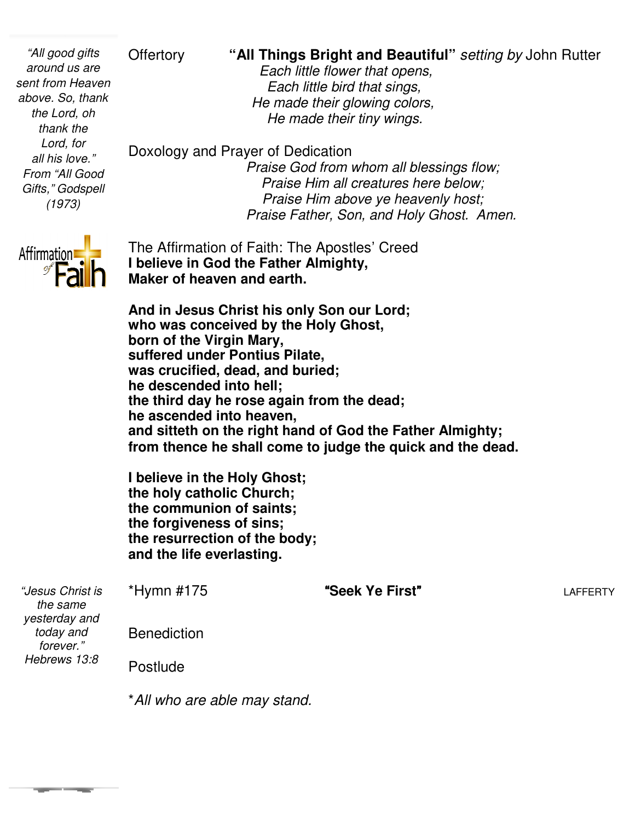Offertory **"All Things Bright and Beautiful**" setting by John Rutter

*Each little flower that opens, Each little bird that sings, He made their glowing colors He their colors, He made their tiny wings wings.* 

Doxology and Prayer of Dedication *Praise God from whom all blessings flow; Praise Him all creatures here below; Praise Him all creatures here below;*<br>*Praise Him above ye heavenly host; Praise Father, Son, and Holy Ghost. Amen Amen.* 

The Affirmation of Faith: The Apostles' Creed The **I believe in God the Father Almighty, Maker of heaven and earth.**

**And in Jesus Christ his only Son our Lord; who was conceived by the Holy born of the Virgin Mary, suffered under Pontius Pilate, was crucified, dead, and buried; he descended into hell;** the third day he rose again from the dead; **he ascended into heaven, and sitteth on the right hand of God the Father Almighty; from thence he shall come to judge the quick and the dead.** heaven and earth.<br>sus Christ his only Son our Lord;<br>conceived by the Holy Ghost,

**I believe in the Holy Ghost; the holy catholic Church; the communion of saints; the forgiveness of sins; the resurrection of the body; and the life everlasting. ascended into heaven,<br>d sitteth on the right hand of God the Father<br>m thence he shall come to judge the quick a<br>elieve in the Holy Ghost;<br>holy catholic Church;<br>communion of saints;<br>forgiveness of sins;<br>resurrection of the** 

| "Jesus Christ is<br>the same<br>yesterday and | $*Hymn$ #175       | "Seek Ye First" | <b>LAFFERTY</b> |
|-----------------------------------------------|--------------------|-----------------|-----------------|
| today and<br>forever."                        | <b>Benediction</b> |                 |                 |
| Hebrews 13:8                                  | <b>Postlude</b>    |                 |                 |
|                                               |                    |                 |                 |

\**All who are able may stand All stand.*



*"All good gifts around us are sent from Heaven above. So, thank the Lord, oh thank the Lord, for all his love." From "All Good Gifts," Godspell (1973)*